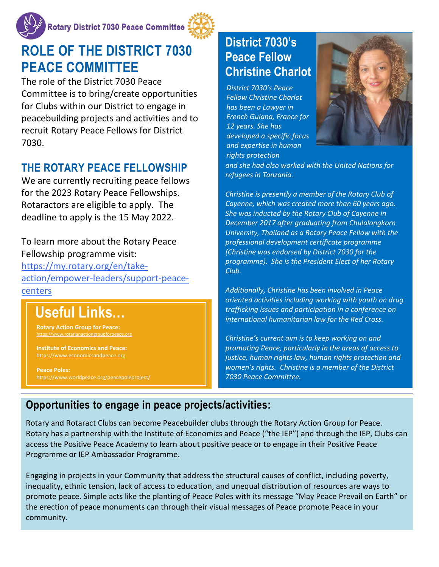

#### **<u>Cotary District 7030 Peace Committee</u>**



# **ROLE OF THE DISTRICT 7030 PEACE COMMITTEE**

The role of the District 7030 Peace Committee is to bring/create opportunities for Clubs within our District to engage in peacebuilding projects and activities and to recruit Rotary Peace Fellows for District 7030.

### **THE ROTARY PEACE FELLOWSHIP**

We are currently recruiting peace fellows for the 2023 Rotary Peace Fellowships. Rotaractors are eligible to apply. The deadline to apply is the 15 May 2022.

To learn more about the Rotary Peace Fellowship programme visit: [https://my.rotary.org/en/take](https://my.rotary.org/en/take-action/empower-leaders/support-peace-centers)[action/empower-leaders/support-peace](https://my.rotary.org/en/take-action/empower-leaders/support-peace-centers)[centers](https://my.rotary.org/en/take-action/empower-leaders/support-peace-centers)

# **Useful Links…**

**Rotary Action Group for Peace:** v.rotarianactiongroupforpea

**Institute of Economics and Peace:**  [https://www.economicsandpeace.org](https://www.economicsandpeace.org/)

**Peace Poles:** <https://www.worldpeace.org/peacepoleproject/>

### **District 7030's Peace Fellow Christine Charlot**

*District 7030's Peace Fellow Christine Charlot has been a Lawyer in French Guiana, France for 12 years. She has developed a specific focus and expertise in human rights protection*



*and she had also worked with the United Nations for refugees in Tanzania.* 

*Christine is presently a member of the Rotary Club of Cayenne, which was created more than 60 years ago. She was inducted by the Rotary Club of Cayenne in December 2017 after graduating from Chulalongkorn University, Thailand as a Rotary Peace Fellow with the professional development certificate programme (Christine was endorsed by District 7030 for the programme). She is the President Elect of her Rotary Club.* 

*Additionally, Christine has been involved in Peace oriented activities including working with youth on drug trafficking issues and participation in a conference on international humanitarian law for the Red Cross.* 

*Christine's current aim is to keep working on and promoting Peace, particularly in the areas of access to justice, human rights law, human rights protection and women's rights. Christine is a member of the District 7030 Peace Committee.*

#### **Opportunities to engage in peace projects/activities:**

Rotary and Rotaract Clubs can become Peacebuilder clubs through the Rotary Action Group for Peace. Rotary has a partnership with the Institute of Economics and Peace ("the IEP") and through the IEP, Clubs can access the Positive Peace Academy to learn about positive peace or to engage in their Positive Peace Programme or IEP Ambassador Programme.

Engaging in projects in your Community that address the structural causes of conflict, including poverty, inequality, ethnic tension, lack of access to education, and unequal distribution of resources are ways to promote peace. Simple acts like the planting of Peace Poles with its message "May Peace Prevail on Earth" or the erection of peace monuments can through their visual messages of Peace promote Peace in your community.